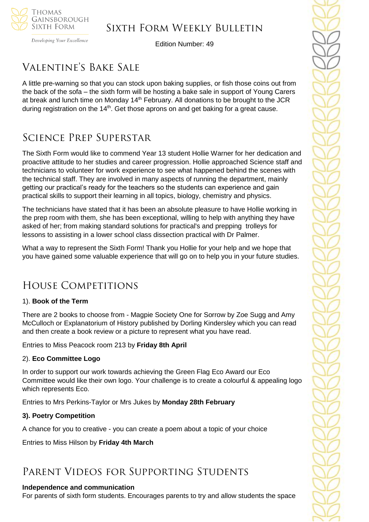

Developing Your Excellence

Edition Number: 49

# Valentine's Bake Sale

A little pre-warning so that you can stock upon baking supplies, or fish those coins out from the back of the sofa – the sixth form will be hosting a bake sale in support of Young Carers at break and lunch time on Monday 14<sup>th</sup> February. All donations to be brought to the JCR during registration on the  $14<sup>th</sup>$ . Get those aprons on and get baking for a great cause.

# Science Prep Superstar

The Sixth Form would like to commend Year 13 student Hollie Warner for her dedication and proactive attitude to her studies and career progression. Hollie approached Science staff and technicians to volunteer for work experience to see what happened behind the scenes with the technical staff. They are involved in many aspects of running the department, mainly getting our practical's ready for the teachers so the students can experience and gain practical skills to support their learning in all topics, biology, chemistry and physics.

The technicians have stated that it has been an absolute pleasure to have Hollie working in the prep room with them, she has been exceptional, willing to help with anything they have asked of her; from making standard solutions for practical's and prepping trolleys for lessons to assisting in a lower school class dissection practical with Dr Palmer.

What a way to represent the Sixth Form! Thank you Hollie for your help and we hope that you have gained some valuable experience that will go on to help you in your future studies.

# House Competitions

# 1). **Book of the Term**

There are 2 books to choose from - Magpie Society One for Sorrow by Zoe Sugg and Amy McCulloch or Explanatorium of History published by Dorling Kindersley which you can read and then create a book review or a picture to represent what you have read.

Entries to Miss Peacock room 213 by **Friday 8th April**

### 2). **Eco Committee Logo**

In order to support our work towards achieving the Green Flag Eco Award our Eco Committee would like their own logo. Your challenge is to create a colourful & appealing logo which represents Eco.

Entries to Mrs Perkins-Taylor or Mrs Jukes by **Monday 28th February**

# **3). Poetry Competition**

A chance for you to creative - you can create a poem about a topic of your choice

Entries to Miss Hilson by **Friday 4th March**

# Parent Videos for Supporting Students

### **Independence and communication**

For parents of sixth form students. Encourages parents to try and allow students the space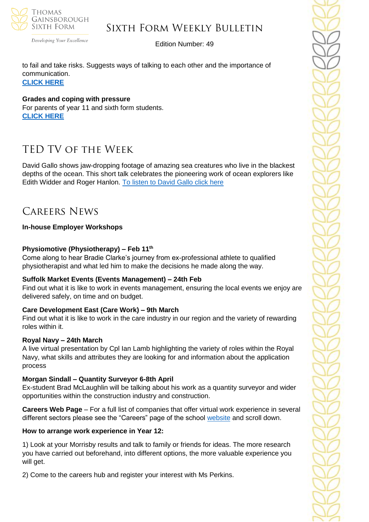

Developing Your Excellence

### Edition Number: 49

to fail and take risks. Suggests ways of talking to each other and the importance of communication. **[CLICK](https://netsxithform.us5.list-manage.com/track/click?u=8dedc07ce580600fe618f38c3&id=5508ad952e&e=5eb29481e7) HERE**

**Grades and coping with pressure** For parents of year 11 and sixth form students. **[CLICK](https://netsxithform.us5.list-manage.com/track/click?u=8dedc07ce580600fe618f38c3&id=172f44ce15&e=5eb29481e7) HERE**

# TED TV of the Week

David Gallo shows jaw-dropping footage of amazing sea creatures who live in the blackest depths of the ocean. This short talk celebrates the pioneering work of ocean explorers like Edith Widder and Roger Hanlon. [To listen to David Gallo click here](https://www.ted.com/talks/david_gallo_underwater_astonishments?referrer=playlist-talks_to_watch_with_kids)

# CAREERS NEWS

### **In-house Employer Workshops**

### **Physiomotive (Physiotherapy) – Feb 11th**

Come along to hear Bradie Clarke's journey from ex-professional athlete to qualified physiotherapist and what led him to make the decisions he made along the way.

### **Suffolk Market Events (Events Management) – 24th Feb**

Find out what it is like to work in events management, ensuring the local events we enjoy are delivered safely, on time and on budget.

### **Care Development East (Care Work) – 9th March**

Find out what it is like to work in the care industry in our region and the variety of rewarding roles within it.

#### **Royal Navy – 24th March**

A live virtual presentation by Cpl Ian Lamb highlighting the variety of roles within the Royal Navy, what skills and attributes they are looking for and information about the application process

### **Morgan Sindall – Quantity Surveyor 6-8th April**

Ex-student Brad McLaughlin will be talking about his work as a quantity surveyor and wider opportunities within the construction industry and construction.

**Careers Web Page** – For a full list of companies that offer virtual work experience in several different sectors please see the "Careers" page of the school [website](https://tgschool.net/careers) and scroll down.

### **How to arrange work experience in Year 12:**

1) Look at your Morrisby results and talk to family or friends for ideas. The more research you have carried out beforehand, into different options, the more valuable experience you will get.

2) Come to the careers hub and register your interest with Ms Perkins.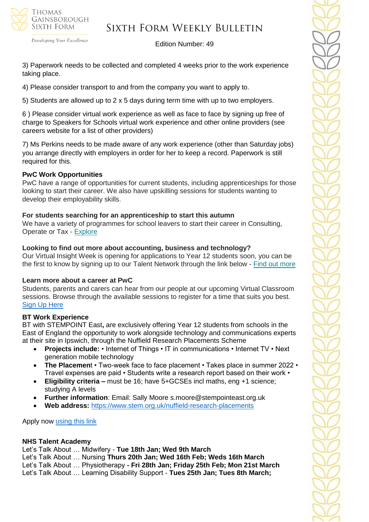

Developing Your Excellence

#### Edition Number: 49

3) Paperwork needs to be collected and completed 4 weeks prior to the work experience taking place.

4) Please consider transport to and from the company you want to apply to.

5) Students are allowed up to 2 x 5 days during term time with up to two employers.

6 ) Please consider virtual work experience as well as face to face by signing up free of charge to Speakers for Schools virtual work experience and other online providers (see careers website for a list of other providers)

7) Ms Perkins needs to be made aware of any work experience (other than Saturday jobs) you arrange directly with employers in order for her to keep a record. Paperwork is still required for this.

#### **PwC Work Opportunities**

PwC have a range of opportunities for current students, including apprenticeships for those looking to start their career. We also have upskilling sessions for students wanting to develop their employability skills.

#### **For students searching for an apprenticeship to start this autumn**

We have a variety of programmes for school leavers to start their career in Consulting, Operate or Tax - [Explore](https://successatschool.us3.list-manage.com/track/click?u=2c038531b25876a2c7c9cf8b1&id=9f5897f3f7&e=530f418f3c)

#### **Looking to find out more about accounting, business and technology?**

Our Virtual Insight Week is opening for applications to Year 12 students soon, you can be the first to know by signing up to our Talent Network through the link below - Find out [more](https://successatschool.us3.list-manage.com/track/click?u=2c038531b25876a2c7c9cf8b1&id=f5cecfdb6a&e=530f418f3c)

#### **Learn more about a career at PwC**

Students, parents and carers can hear from our people at our upcoming Virtual Classroom sessions. Browse through the available sessions to register for a time that suits you best. [Sign Up Here](https://www.pwc.co.uk/careers/student-careers/school-careers/virtual-classroom.html)

#### **BT Work Experience**

BT with STEMPOINT East**,** are exclusively offering Year 12 students from schools in the East of England the opportunity to work alongside technology and communications experts at their site in Ipswich, through the Nuffield Research Placements Scheme

- **Projects include:** Internet of Things IT in communications Internet TV Next generation mobile technology
- **The Placemen**t Two-week face to face placement Takes place in summer 2022 Travel expenses are paid • Students write a research report based on their work •
- **Eligibility criteria –** must be 16; have 5+GCSEs incl maths, eng +1 science; studying A levels
- **Further information**: Email: Sally Moore s.moore@stempointeast.org.uk
- **Web address:** <https://www.stem.org.uk/nuffield-research-placements>

Apply now [using this link](http://www.nuffieldresearchplacements.org/)

#### **NHS Talent Academy**

Let's Talk About … Midwifery - **Tue 18th Jan; Wed 9th March** 

Let's Talk About … Nursing **Thurs 20th Jan; Wed 16th Feb; Weds 16th March**

Let's Talk About … Physiotherapy **- Fri 28th Jan; Friday 25th Feb; Mon 21st March**

Let's Talk About … Learning Disability Support - **Tues 25th Jan; Tues 8th March;**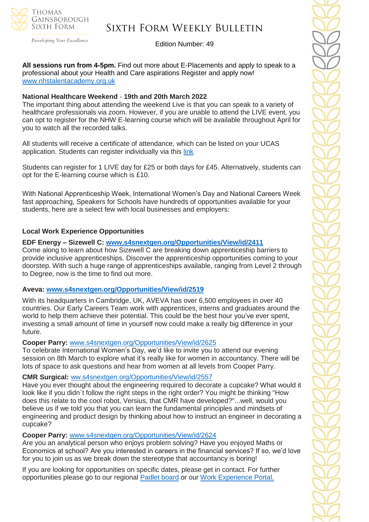

#### Developing Your Excellence

# Sixth Form Weekly Bulletin

Edition Number: 49

**All sessions run from 4-5pm.** Find out more about E-Placements and apply to speak to a professional about your Health and Care aspirations Register and apply now! [www.nhstalentacademy.org.uk](file://///tgs-sr-data/Staff%20Shared-N/Sixth%20Form/Admin/Weekly%20Bulletin/www.nhstalentacademy.org.uk)

#### **National Healthcare Weekend** - **19th and 20th March 2022**

The important thing about attending the weekend Live is that you can speak to a variety of healthcare professionals via zoom. However, if you are unable to attend the LIVE event, you can opt to register for the NHW E-learning course which will be available throughout April for you to watch all the recorded talks.

All students will receive a certificate of attendance, which can be listed on your UCAS application. Students can register individually via this [link](https://alliedhealthmentor.org/national-healthcare-weekend/)

Students can register for 1 LIVE day for £25 or both days for £45. Alternatively, students can opt for the E-learning course which is £10.

With National Apprenticeship Week, International Women's Day and National Careers Week fast approaching, Speakers for Schools have hundreds of opportunities available for your students, here are a select few with local businesses and employers:

#### **Local Work Experience Opportunities**

**EDF Energy – Sizewell C: [www.s4snextgen.org/Opportunities/View/id/2411](https://emea01.safelinks.protection.outlook.com/?url=http%3A%2F%2Fwww.s4snextgen.org%2FOpportunities%2FView%2Fid%2F2411&data=04%7C01%7C%7C768101927a38480d544508d9e1093bad%7C84df9e7fe9f640afb435aaaaaaaaaaaa%7C1%7C0%7C637788252042419044%7CUnknown%7CTWFpbGZsb3d8eyJWIjoiMC4wLjAwMDAiLCJQIjoiV2luMzIiLCJBTiI6Ik1haWwiLCJXVCI6Mn0%3D%7C3000&sdata=2YzM2IL7VWKQwhVhW3u4ZpwtGuHvC0tsoSNaWESWBY4%3D&reserved=0)**

Come along to learn about how Sizewell C are breaking down apprenticeship barriers to provide inclusive apprenticeships. Discover the apprenticeship opportunities coming to your doorstep. With such a huge range of apprenticeships available, ranging from Level 2 through to Degree, now is the time to find out more.

#### **Aveva: [www.s4snextgen.org/Opportunities/View/id/2519](https://emea01.safelinks.protection.outlook.com/?url=http%3A%2F%2Fwww.s4snextgen.org%2FOpportunities%2FView%2Fid%2F2519&data=04%7C01%7C%7C768101927a38480d544508d9e1093bad%7C84df9e7fe9f640afb435aaaaaaaaaaaa%7C1%7C0%7C637788252042419044%7CUnknown%7CTWFpbGZsb3d8eyJWIjoiMC4wLjAwMDAiLCJQIjoiV2luMzIiLCJBTiI6Ik1haWwiLCJXVCI6Mn0%3D%7C3000&sdata=s%2FPvWpXH93xXT9C2htHDLANf5rF%2Fhbwrksyi9yAedHk%3D&reserved=0)**

With its headquarters in Cambridge, UK, AVEVA has over 6,500 employees in over 40 countries. Our Early Careers Team work with apprentices, interns and graduates around the world to help them achieve their potential. This could be the best hour you've ever spent, investing a small amount of time in yourself now could make a really big difference in your future.

#### **Cooper Parry:** [www.s4snextgen.org/Opportunities/View/id/2625](https://emea01.safelinks.protection.outlook.com/?url=http%3A%2F%2Fwww.s4snextgen.org%2FOpportunities%2FView%2Fid%2F2625&data=04%7C01%7C%7C768101927a38480d544508d9e1093bad%7C84df9e7fe9f640afb435aaaaaaaaaaaa%7C1%7C0%7C637788252042419044%7CUnknown%7CTWFpbGZsb3d8eyJWIjoiMC4wLjAwMDAiLCJQIjoiV2luMzIiLCJBTiI6Ik1haWwiLCJXVCI6Mn0%3D%7C3000&sdata=cEBtISNnaEr21TtOkSWwc1uHUJg0lddjwGcC53iOnOY%3D&reserved=0)

To celebrate International Women's Day, we'd like to invite you to attend our evening session on 8th March to explore what it's really like for women in accountancy. There will be lots of space to ask questions and hear from women at all levels from Cooper Parry.

#### **CMR Surgical:** [ww.s4snextgen.org/Opportunities/View/id/2557](https://emea01.safelinks.protection.outlook.com/?url=http%3A%2F%2Fwww.s4snextgen.org%2FOpportunities%2FView%2Fid%2F2557&data=04%7C01%7C%7C768101927a38480d544508d9e1093bad%7C84df9e7fe9f640afb435aaaaaaaaaaaa%7C1%7C0%7C637788252042419044%7CUnknown%7CTWFpbGZsb3d8eyJWIjoiMC4wLjAwMDAiLCJQIjoiV2luMzIiLCJBTiI6Ik1haWwiLCJXVCI6Mn0%3D%7C3000&sdata=Kr%2Bgk3G3cSCBMCZXy9y5Y%2BPvrc05A4W4XgtsqUuXXDI%3D&reserved=0)

Have you ever thought about the engineering required to decorate a cupcake? What would it look like if you didn`t follow the right steps in the right order? You might be thinking "How does this relate to the cool robot, Versius, that CMR have developed?"...well, would you believe us if we told you that you can learn the fundamental principles and mindsets of engineering and product design by thinking about how to instruct an engineer in decorating a cupcake?

#### **Cooper Parry:** [www.s4snextgen.org/Opportunities/View/id/2624](https://emea01.safelinks.protection.outlook.com/?url=http%3A%2F%2Fwww.s4snextgen.org%2FOpportunities%2FView%2Fid%2F2624&data=04%7C01%7C%7C768101927a38480d544508d9e1093bad%7C84df9e7fe9f640afb435aaaaaaaaaaaa%7C1%7C0%7C637788252042419044%7CUnknown%7CTWFpbGZsb3d8eyJWIjoiMC4wLjAwMDAiLCJQIjoiV2luMzIiLCJBTiI6Ik1haWwiLCJXVCI6Mn0%3D%7C3000&sdata=N70IqMIVhddXg1hKGzPxo7mJpT38w90LCJaVEIPomC4%3D&reserved=0)

Are you an analytical person who enjoys problem solving? Have you enjoyed Maths or Economics at school? Are you interested in careers in the financial services? If so, we'd love for you to join us as we break down the stereotype that accountancy is boring!

If you are looking for opportunities on specific dates, please get in contact. For further opportunities please go to our regional [Padlet](https://emea01.safelinks.protection.outlook.com/?url=https%3A%2F%2Fpadlet.com%2FSFSEast%2Fgexg5eu91pyzwt4j&data=04%7C01%7C%7C768101927a38480d544508d9e1093bad%7C84df9e7fe9f640afb435aaaaaaaaaaaa%7C1%7C0%7C637788252042419044%7CUnknown%7CTWFpbGZsb3d8eyJWIjoiMC4wLjAwMDAiLCJQIjoiV2luMzIiLCJBTiI6Ik1haWwiLCJXVCI6Mn0%3D%7C3000&sdata=X1r%2FNbQ0zg6qejulMgxSx39S0BtCd8vMLeO6k9Nb0tg%3D&reserved=0) board or our Work [Experience](https://emea01.safelinks.protection.outlook.com/?url=https%3A%2F%2Fwww.s4snextgen.org%2F&data=04%7C01%7C%7C768101927a38480d544508d9e1093bad%7C84df9e7fe9f640afb435aaaaaaaaaaaa%7C1%7C0%7C637788252042419044%7CUnknown%7CTWFpbGZsb3d8eyJWIjoiMC4wLjAwMDAiLCJQIjoiV2luMzIiLCJBTiI6Ik1haWwiLCJXVCI6Mn0%3D%7C3000&sdata=ti0S6yewXyHWtGFbnSAHum5Rtiknezr33lZX65Uz19Q%3D&reserved=0) Portal.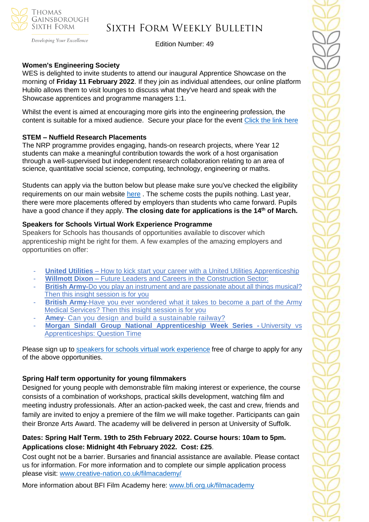

Developing Your Excellence

Edition Number: 49

#### **Women's Engineering Society**

WES is delighted to invite students to attend our inaugural Apprentice Showcase on the morning of **Friday 11 February 2022**. If they join as individual attendees, our online platform Hubilo allows them to visit lounges to discuss what they've heard and speak with the Showcase apprentices and programme managers 1:1.

Whilst the event is aimed at encouraging more girls into the engineering profession, the content is suitable for a mixed audience. Secure your place for the event [Click the link here](https://edu3.sprintsend.co.uk/b2/link.php?M=564484&N=49&L=138&F=H)

#### **STEM – Nuffield Research Placements**

The NRP programme provides engaging, hands-on research projects, where Year 12 students can make a meaningful contribution towards the work of a host organisation through a well-supervised but independent research collaboration relating to an area of science, quantitative social science, computing, technology, engineering or maths.

Students can apply via the button below but please make sure you've checked the eligibility requirements on our main website [here](https://www.stem.org.uk/nuffield-research-placements) . The scheme costs the pupils nothing. Last year, there were more placements offered by employers than students who came forward. Pupils have a good chance if they apply. **The closing date for applications is the 14th of March.**

#### **Speakers for Schools Virtual Work Experience Programme**

Speakers for Schools has thousands of opportunities available to discover which apprenticeship might be right for them. A few examples of the amazing employers and opportunities on offer:

- **United Utilities** How to kick start your career with a United Utilities [Apprenticeship](https://www.s4snextgen.org/Opportunities/View/id/2416)
- **Willmott Dixon** Future Leaders and Careers in the [Construction](https://www.s4snextgen.org/Opportunities/View/id/2536) Sector:
- **British Army-**Do you play an instrument and are [passionate](http://www.s4snextgen.org/Opportunities/View/id/2513) about all things musical? Then this insight [session](http://www.s4snextgen.org/Opportunities/View/id/2513) is for you
- **British Army-Have you ever [wondered](https://www.s4snextgen.org/Opportunities/View/id/2514) what it takes to become a part of the Army** Medical [Services?](https://www.s4snextgen.org/Opportunities/View/id/2514) Then this insight session is for you
- Amey- Can you design and build a [sustainable](http://www.s4snextgen.org/Opportunities/View/id/2189) railway?
- **Morgan Sindall Group National [Apprenticeship](http://www.s4snextgen.org/Opportunities/View/id/2506) Week Series -** University vs [Apprenticeships:](http://www.s4snextgen.org/Opportunities/View/id/2506) Question Time

Please sign up to speakers for schools virtual work [experience](https://www.speakersforschools.org/experience-2/) free of charge to apply for any of the above opportunities.

### **Spring Half term opportunity for young filmmakers**

Designed for young people with demonstrable film making interest or experience, the course consists of a combination of workshops, practical skills development, watching film and meeting industry professionals. After an action-packed week, the cast and crew, friends and family are invited to enjoy a premiere of the film we will make together. Participants can gain their Bronze Arts Award. The academy will be delivered in person at University of Suffolk.

# **Dates: Spring Half Term. 19th to 25th February 2022. Course hours: 10am to 5pm. Applications close: Midnight 4th February 2022. Cost: £25**.

Cost ought not be a barrier. Bursaries and financial assistance are available. Please contact us for information. For more information and to complete our simple application process please visit: [www.creative-nation.co.uk/filmacademy/](file://///tgs-sr-data/Staff%20Shared/Sixth%20Form/Admin/Weekly%20Bulletin/www.creative-nation.co.uk/filmacademy/)

More information about BFI Film Academy here: [www.bfi.org.uk/filmacademy](http://www.bfi.org.uk/filmacademy)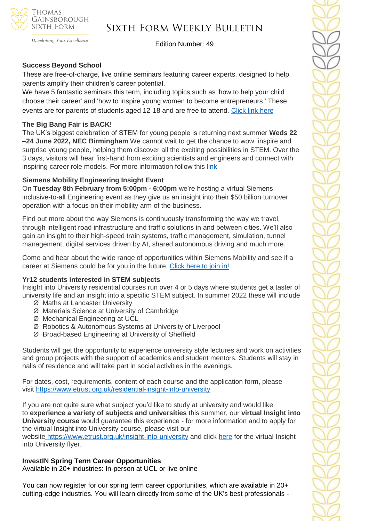

Developing Your Excellence

Edition Number: 49

# **Success Beyond School**

These are free-of-charge, live online seminars featuring career experts, designed to help parents amplify their children's career potential.

We have 5 fantastic seminars this term, including topics such as 'how to help your child choose their career' and 'how to inspire young women to become entrepreneurs.' These events are for parents of students aged 12-18 and are free to attend. [Click link here](https://investin.org/pages/parent-events?mc_cid=9c80b43ed8&mc_eid=1348b989f1)

#### **The Big Bang Fair is BACK!**

The UK's biggest celebration of STEM for young people is returning next summer **Weds 22 –24 June 2022, NEC Birmingham** We cannot wait to get the chance to wow, inspire and surprise young people, helping them discover all the exciting possibilities in STEM. Over the 3 days, visitors will hear first-hand from exciting scientists and engineers and connect with inspiring career role models. For more information follow this [link](https://www.thebigbang.org.uk/)

### **Siemens Mobility Engineering Insight Event**

On **Tuesday 8th February from 5:00pm - 6:00pm** we're hosting a virtual Siemens inclusive-to-all Engineering event as they give us an insight into their \$50 billion turnover operation with a focus on their mobility arm of the business.

Find out more about the way Siemens is continuously transforming the way we travel, through intelligent road infrastructure and traffic solutions in and between cities. We'll also gain an insight to their high-speed train systems, traffic management, simulation, tunnel management, digital services driven by AI, shared autonomous driving and much more.

Come and hear about the wide range of opportunities within Siemens Mobility and see if a career at Siemens could be for you in the future. [Click here to join in!](https://www.surveymonkey.co.uk/r/Siemens-Engineering)

### **Yr12 students interested in STEM subjects**

Insight into University residential courses run over 4 or 5 days where students get a taster of university life and an insight into a specific STEM subject. In summer 2022 these will include

- Ø Maths at Lancaster University
- Ø Materials Science at University of Cambridge
- Ø Mechanical Engineering at UCL
- Ø Robotics & Autonomous Systems at University of Liverpool
- Ø Broad-based Engineering at University of Sheffield

Students will get the opportunity to experience university style lectures and work on activities and group projects with the support of academics and student mentors. Students will stay in halls of residence and will take part in social activities in the evenings.

For dates, cost, requirements, content of each course and the application form, please visit <https://www.etrust.org.uk/residential-insight-into-university>

If you are not quite sure what subject you'd like to study at university and would like to **experience a variety of subjects and universities** this summer, our **virtual Insight into University course** would guarantee this experience - for more information and to apply for the virtual Insight into University course, please visit our

website <https://www.etrust.org.uk/insight-into-university> and click [here](https://dd233f6a-c442-4437-a8e1-9e42987b6020.filesusr.com/ugd/4517c8_fcb7add322ae4a1eab2156347e1f2442.pdf) for the virtual Insight into University flyer.

### **InvestIN Spring Term Career Opportunities**

Available in 20+ industries: In-person at UCL or live online

You can now register for our spring term career opportunities, which are available in 20+ cutting-edge industries. You will learn directly from some of the UK's best professionals -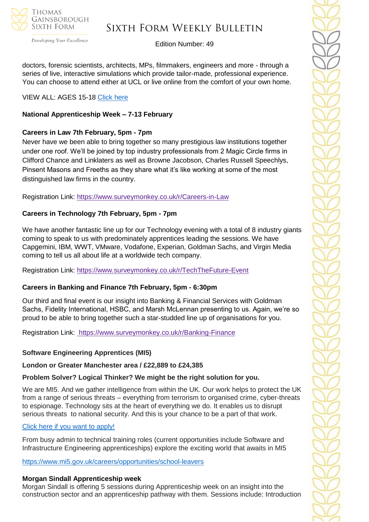

Developing Your Excellence

# Edition Number: 49

doctors, forensic scientists, architects, MPs, filmmakers, engineers and more - through a series of live, interactive simulations which provide tailor-made, professional experience. You can choose to attend either at UCL or live online from the comfort of your own home.

# VIEW ALL: AGES 15-18 [Click here](https://investin.org/pages/spring-term-career-programmes-15-18?utm_source=UK+SCHOOLS+MASTER&utm_campaign=3b31a67736-bankersschoolmar_COPY_01&utm_medium=email&utm_term=0_bfccb03bbd-3b31a67736-137697031&mc_cid=3b31a67736&mc_eid=894e4199ae)

# **National Apprenticeship Week – 7-13 February**

# **Careers in Law 7th February, 5pm - 7pm**

Never have we been able to bring together so many prestigious law institutions together under one roof. We'll be joined by top industry professionals from 2 Magic Circle firms in Clifford Chance and Linklaters as well as Browne Jacobson, Charles Russell Speechlys, Pinsent Masons and Freeths as they share what it's like working at some of the most distinguished law firms in the country.

Registration Link: <https://www.surveymonkey.co.uk/r/Careers-in-Law>

# **Careers in Technology 7th February, 5pm - 7pm**

We have another fantastic line up for our Technology evening with a total of 8 industry giants coming to speak to us with predominately apprentices leading the sessions. We have Capgemini, IBM, WWT, VMware, Vodafone, Experian, Goldman Sachs, and Virgin Media coming to tell us all about life at a worldwide tech company.

Registration Link: <https://www.surveymonkey.co.uk/r/TechTheFuture-Event>

# **Careers in Banking and Finance 7th February, 5pm - 6:30pm**

Our third and final event is our insight into Banking & Financial Services with Goldman Sachs, Fidelity International, HSBC, and Marsh McLennan presenting to us. Again, we're so proud to be able to bring together such a star-studded line up of organisations for you.

Registration Link: <https://www.surveymonkey.co.uk/r/Banking-Finance>

### **Software Engineering Apprentices (MI5)**

**London or Greater Manchester area / £22,889 to £24,385** 

### **Problem Solver? Logical Thinker? We might be the right solution for you.**

We are MI5. And we gather intelligence from within the UK. Our work helps to protect the UK from a range of serious threats – everything from terrorism to organised crime, cyber-threats to espionage. Technology sits at the heart of everything we do. It enables us to disrupt serious threats to national security. And this is your chance to be a part of that work.

### [Click here if you want to apply!](https://recruitmentservices.applicationtrack.com/vx/lang-en-GB/mobile-0/appcentre-1/brand-5/user-2637141/candidate/so/pm/1/pl/4/opp/2447?adhoc_referrer=544309827)

From busy admin to technical training roles (current opportunities include Software and Infrastructure Engineering apprenticeships) explore the exciting world that awaits in MI5

[https://www.mi5.gov.uk/careers/opportunities/school-leavers](https://emea01.safelinks.protection.outlook.com/?url=https%3A%2F%2Fwww.mi5.gov.uk%2Fcareers%2Fopportunities%2Fschool-leavers&data=04%7C01%7C%7Cc66eba9eb3f947cbd59408d9e0d9f0c2%7C84df9e7fe9f640afb435aaaaaaaaaaaa%7C1%7C0%7C637788048944962071%7CUnknown%7CTWFpbGZsb3d8eyJWIjoiMC4wLjAwMDAiLCJQIjoiV2luMzIiLCJBTiI6Ik1haWwiLCJXVCI6Mn0%3D%7C3000&sdata=RuQR14%2FCgrNgq9sikvv3JTr7AkvZ1KyExNIWpWf5yic%3D&reserved=0)

### **Morgan Sindall Apprenticeship week**

Morgan Sindall is offering 5 sessions during Apprenticeship week on an insight into the construction sector and an apprenticeship pathway with them. Sessions include: Introduction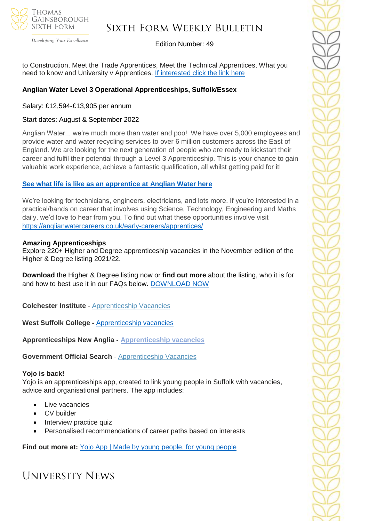

Developing Your Excellence

#### Edition Number: 49

to Construction, Meet the Trade Apprentices, Meet the Technical Apprentices, What you need to know and University v Apprentices. [If interested click the link here](file:///C:/Users/alexandranevill/Downloads/2022%20-%20MS%20Apprenticeship%20Week%20Flyer.pdf)

### **Anglian Water Level 3 Operational Apprenticeships, Suffolk/Essex**

#### Salary: £12,594-£13,905 per annum

#### Start dates: August & September 2022

Anglian Water... we're much more than water and poo! We have over 5,000 employees and provide water and water recycling services to over 6 million customers across the East of England. We are looking for the next generation of people who are ready to kickstart their career and fulfil their potential through a Level 3 Apprenticeship. This is your chance to gain valuable work experience, achieve a fantastic qualification, all whilst getting paid for it!

#### **[See what life is like as an apprentice at Anglian](https://youtu.be/ocHab1ZNOjA) Water here**

We're looking for technicians, engineers, electricians, and lots more. If you're interested in a practical/hands on career that involves using Science, Technology, Engineering and Maths daily, we'd love to hear from you. To find out what these opportunities involve visit <https://anglianwatercareers.co.uk/early-careers/apprentices/>

#### **Amazing Apprenticeships**

Explore 220+ Higher and Degree apprenticeship vacancies in the November edition of the Higher & Degree listing 2021/22.

**Download** the Higher & Degree listing now or **find out more** about the listing, who it is for and how to best use it in our FAQs below. [DOWNLOAD NOW](https://amazingapprenticeships.com/resource/higher-and-degree-listing/)

**Colchester Institute** - Apprenticeship Vacancies

**West Suffolk College -** [Apprenticeship vacancies](https://www.wsc.ac.uk/find-a-course/apprenticeships)

**Apprenticeships New Anglia - [Apprenticeship vacancies](https://www.apprenticeshipsnewanglia.co.uk/)**

**Government Official Search** - [Apprenticeship Vacancies](https://www.gov.uk/apply-apprenticeship)

#### **Yojo is back!**

Yojo is an apprenticeships app, created to link young people in Suffolk with vacancies, advice and organisational partners. The app includes:

- Live vacancies
- CV builder
- **Interview practice quiz**
- Personalised recommendations of career paths based on interests

**Find out more at:** [Yojo App | Made by young people, for young people](https://emea01.safelinks.protection.outlook.com/?url=https%3A%2F%2Fyojoapp.co.uk%2F&data=04%7C01%7C%7C4c6c44ecc3fb4f20ff7908d9db3b3618%7C84df9e7fe9f640afb435aaaaaaaaaaaa%7C1%7C0%7C637781869767483855%7CUnknown%7CTWFpbGZsb3d8eyJWIjoiMC4wLjAwMDAiLCJQIjoiV2luMzIiLCJBTiI6Ik1haWwiLCJXVCI6Mn0%3D%7C3000&sdata=9WtYUB305aPkl6q46VQFnWxhGcaNixIyQ7zb9qHytQc%3D&reserved=0)

# University News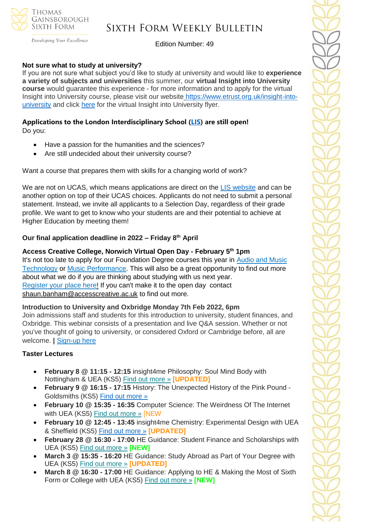

Developing Your Excellence

Edition Number: 49

#### **Not sure what to study at university?**

If you are not sure what subject you'd like to study at university and would like to **experience a variety of subjects and universities** this summer, our **virtual Insight into University course** would guarantee this experience - for more information and to apply for the virtual Insight into University course, please visit our website [https://www.etrust.org.uk/insight-into](https://www.etrust.org.uk/insight-into-university)[university](https://www.etrust.org.uk/insight-into-university) and click [here](https://dd233f6a-c442-4437-a8e1-9e42987b6020.filesusr.com/ugd/4517c8_fcb7add322ae4a1eab2156347e1f2442.pdf) for the virtual Insight into University flyer.

#### **Applications to the London Interdisciplinary School [\(LIS\)](https://emea01.safelinks.protection.outlook.com/?url=https%3A%2F%2Fschools.tecl.co.uk%2Feducationcompany5lz%2Flz.aspx%3Fp1%3DMuzDU3NjA0MjA1Uzk0NzE6NkYwQjdEMTg3QzdEMTdCODZFRjcxMENBNDUyNEYwN0M%253d-%26CC%3D%26w%3D5511&data=04%7C01%7C%7C39fcd5037de64b1f134108d9db3b46e6%7C84df9e7fe9f640afb435aaaaaaaaaaaa%7C1%7C0%7C637781869903019097%7CUnknown%7CTWFpbGZsb3d8eyJWIjoiMC4wLjAwMDAiLCJQIjoiV2luMzIiLCJBTiI6Ik1haWwiLCJXVCI6Mn0%3D%7C3000&sdata=pgQvu53gpi%2Fe%2F8%2BCNPs9L2gikEtVgERhZ9O0%2FbkIqeQ%3D&reserved=0) are still open!** Do you:

- Have a passion for the humanities and the sciences?
- Are still undecided about their university course?

Want a course that prepares them with skills for a changing world of work?

We are not on UCAS, which means applications are direct on the [LIS website](https://emea01.safelinks.protection.outlook.com/?url=https%3A%2F%2Fschools.tecl.co.uk%2Feducationcompany5lz%2Flz.aspx%3Fp1%3DMuzDU3NjA0MjA1Uzk0NzE6NkYwQjdEMTg3QzdEMTdCODZFRjcxMENBNDUyNEYwN0M%253d-%26CC%3D%26w%3D8515&data=04%7C01%7C%7C39fcd5037de64b1f134108d9db3b46e6%7C84df9e7fe9f640afb435aaaaaaaaaaaa%7C1%7C0%7C637781869903019097%7CUnknown%7CTWFpbGZsb3d8eyJWIjoiMC4wLjAwMDAiLCJQIjoiV2luMzIiLCJBTiI6Ik1haWwiLCJXVCI6Mn0%3D%7C3000&sdata=8Hlbt%2BgSl0U8BdHh3CK1iY0dZPD2WXrFZ8gatSx1i2Q%3D&reserved=0) and can be another option on top of their UCAS choices. Applicants do not need to submit a personal statement. Instead, we invite all applicants to a Selection Day, regardless of their grade profile. We want to get to know who your students are and their potential to achieve at Higher Education by meeting them!

### **Our final application deadline in 2022 – Friday 8th April**

#### **Access Creative College, Norwich Virtual Open Day - February 5th 1pm**

It's not too late to apply for our Foundation Degree courses this year in Audio and Music [Technology](https://emea01.safelinks.protection.outlook.com/?url=http%3A%2F%2Fec2-54-189-84-127.us-west-2.compute.amazonaws.com%2Fx%2Fd%3Fc%3D18985790%26l%3D6ab91472-e9bc-41cd-88f2-28af5e2a776e%26r%3D4b9ff939-6e40-4a0f-bfc4-879ac4fca0a0&data=04%7C01%7C%7C3b5386d078204df1253408d9e4bd227b%7C84df9e7fe9f640afb435aaaaaaaaaaaa%7C1%7C0%7C637792323252233708%7CUnknown%7CTWFpbGZsb3d8eyJWIjoiMC4wLjAwMDAiLCJQIjoiV2luMzIiLCJBTiI6Ik1haWwiLCJXVCI6Mn0%3D%7C3000&sdata=BwrVC1Aug6rRz9FM6O6JC1jLkLtokcsG%2F4ly%2BJO1FpE%3D&reserved=0) or [Music Performance.](https://emea01.safelinks.protection.outlook.com/?url=http%3A%2F%2Fec2-54-189-84-127.us-west-2.compute.amazonaws.com%2Fx%2Fd%3Fc%3D18985790%26l%3D0f583503-2045-423a-a1ec-dc37ebb7724b%26r%3D4b9ff939-6e40-4a0f-bfc4-879ac4fca0a0&data=04%7C01%7C%7C3b5386d078204df1253408d9e4bd227b%7C84df9e7fe9f640afb435aaaaaaaaaaaa%7C1%7C0%7C637792323252233708%7CUnknown%7CTWFpbGZsb3d8eyJWIjoiMC4wLjAwMDAiLCJQIjoiV2luMzIiLCJBTiI6Ik1haWwiLCJXVCI6Mn0%3D%7C3000&sdata=fTUyXWZi%2BQZgFQ8biX1yLx4OCdMlzR7%2FAvm9Lserv7E%3D&reserved=0) This will also be a great opportunity to find out more about what we do if you are thinking about studying with us next year. [Register your place here!](https://emea01.safelinks.protection.outlook.com/?url=http%3A%2F%2Fec2-54-189-84-127.us-west-2.compute.amazonaws.com%2Fx%2Fd%3Fc%3D18985790%26l%3D5fef93a5-22e7-4cbb-9400-54c1142fa4a0%26r%3D4b9ff939-6e40-4a0f-bfc4-879ac4fca0a0&data=04%7C01%7C%7C3b5386d078204df1253408d9e4bd227b%7C84df9e7fe9f640afb435aaaaaaaaaaaa%7C1%7C0%7C637792323252233708%7CUnknown%7CTWFpbGZsb3d8eyJWIjoiMC4wLjAwMDAiLCJQIjoiV2luMzIiLCJBTiI6Ik1haWwiLCJXVCI6Mn0%3D%7C3000&sdata=qISvYw9cl6zMtesm%2FQEN56bO5acdnTGaVY3lIVv2pEo%3D&reserved=0) If you can't make it to the open day contact [shaun.banham@accesscreative.ac.uk](mailto:shaun.banham@accesscreative.ac.uk) to find out more.

#### **Introduction to University and Oxbridge Monday 7th Feb 2022, 6pm**

Join admissions staff and students for this introduction to university, student finances, and Oxbridge. This webinar consists of a presentation and live Q&A session. Whether or not you've thought of going to university, or considered Oxford or Cambridge before, all are welcome. **|** [Sign-up](https://us06web.zoom.us/webinar/register/WN_GScd0zPPRE2SGE3CM-yfyg) here

#### **Taster Lectures**

- **February 8 @ 11:15 - 12:15** insight4me Philosophy: Soul Mind Body with Nottingham & UEA (KS5) Find out [more](https://channeltalent.us10.list-manage.com/track/click?u=145837fa6843e0c349598322a&id=4d33873b41&e=155232616c) » **[UPDATED]**
- **February 9 @ 16:15 - 17:15** History: The Unexpected History of the Pink Pound Goldsmiths (KS5) [Find out more »](https://emea01.safelinks.protection.outlook.com/?url=https%3A%2F%2Fchanneltalent.us10.list-manage.com%2Ftrack%2Fclick%3Fu%3D145837fa6843e0c349598322a%26id%3D3541325d09%26e%3D155232616c&data=04%7C01%7C%7C2ed049cf4bb147edf31d08d9db396019%7C84df9e7fe9f640afb435aaaaaaaaaaaa%7C1%7C0%7C637781861748916522%7CUnknown%7CTWFpbGZsb3d8eyJWIjoiMC4wLjAwMDAiLCJQIjoiV2luMzIiLCJBTiI6Ik1haWwiLCJXVCI6Mn0%3D%7C3000&sdata=nkJl90uFuTLSZk9kXGM0bOdjxbfTz%2Bqc%2Bo54Gb8sYGs%3D&reserved=0)
- **February 10 @ 15:35 - 16:35** Computer Science: The Weirdness Of The Internet with UEA (KS5) [Find out more »](https://channeltalent.us10.list-manage.com/track/click?u=145837fa6843e0c349598322a&id=05b2091ad9&e=155232616c) [NEW
- **February 10 @ 12:45 - 13:45** insight4me Chemistry: Experimental Design with UEA & Sheffield (KS5) [Find out more »](https://emea01.safelinks.protection.outlook.com/?url=https%3A%2F%2Fchanneltalent.us10.list-manage.com%2Ftrack%2Fclick%3Fu%3D145837fa6843e0c349598322a%26id%3D7846c9e765%26e%3D155232616c&data=04%7C01%7C%7Cf2abda9b83fd43ed7a9b08d9e494a744%7C84df9e7fe9f640afb435aaaaaaaaaaaa%7C1%7C0%7C637792149379064956%7CUnknown%7CTWFpbGZsb3d8eyJWIjoiMC4wLjAwMDAiLCJQIjoiV2luMzIiLCJBTiI6Ik1haWwiLCJXVCI6Mn0%3D%7C3000&sdata=YLvIVqqtHTPGn7qRdjnZCxYogFbbYMmRSi%2B6KxBFMxM%3D&reserved=0) **[UPDATED]**
- **February 28 @ 16:30 - 17:00** HE Guidance: Student Finance and Scholarships with UEA (KS5) Find out [more](https://channeltalent.us10.list-manage.com/track/click?u=145837fa6843e0c349598322a&id=8a66d43d48&e=155232616c) » **[NEW]**
- **March 3 @ 15:35 - 16:20** HE Guidance: Study Abroad as Part of Your Degree with UEA (KS5) Find out [more](https://channeltalent.us10.list-manage.com/track/click?u=145837fa6843e0c349598322a&id=e5493d6bde&e=155232616c) » **[UPDATED]**
- **March 8 @ 16:30 - 17:00** HE Guidance: Applying to HE & Making the Most of Sixth Form or College with UEA (KS5) Find out [more](https://channeltalent.us10.list-manage.com/track/click?u=145837fa6843e0c349598322a&id=422871e59f&e=155232616c) » **[NEW]**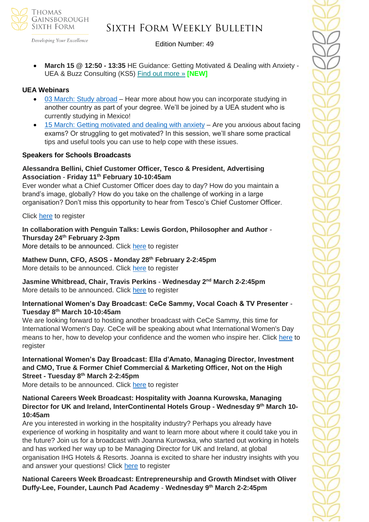

Developing Your Excellence

#### Edition Number: 49

• **March 15 @ 12:50 - 13:35** HE Guidance: Getting Motivated & Dealing with Anxiety - UEA & Buzz Consulting (KS5) Find out [more](https://channeltalent.us10.list-manage.com/track/click?u=145837fa6843e0c349598322a&id=63dd3662e5&e=155232616c) » **[NEW]**

#### **UEA Webinars**

- [03 March: Study abroad](https://emea01.safelinks.protection.outlook.com/?url=https%3A%2F%2Fwww.channeltalent.co.uk%2Fevent%2Fhe-guidance-study-abroad-as-part-of-your-degree-with-annie-kay-current-students-from-university-of-east-anglia%2F&data=04%7C01%7C%7C83f95f83e5d24573615008d9e4bd2998%7C84df9e7fe9f640afb435aaaaaaaaaaaa%7C1%7C0%7C637792323367442316%7CUnknown%7CTWFpbGZsb3d8eyJWIjoiMC4wLjAwMDAiLCJQIjoiV2luMzIiLCJBTiI6Ik1haWwiLCJXVCI6Mn0%3D%7C3000&sdata=B77gR9qKdDtIVbWlJ6uHlOw6S%2BuHrZ2Bh%2F7zWOC3IWk%3D&reserved=0) Hear more about how you can incorporate studying in another country as part of your degree. We'll be joined by a UEA student who is currently studying in Mexico!
- $15$  March: Getting motivated and dealing with anxiety  $-$  Are you anxious about facing exams? Or struggling to get motivated? In this session, we'll share some practical tips and useful tools you can use to help cope with these issues.

#### **Speakers for Schools Broadcasts**

#### **Alessandra Bellini, Chief Customer Officer, Tesco & President, Advertising Association** - **Friday 11th February 10-10:45am**

Ever wonder what a Chief Customer Officer does day to day? How do you maintain a brand's image, globally? How do you take on the challenge of working in a large organisation? Don't miss this opportunity to hear from Tesco's Chief Customer Officer.

Click [here](https://emea01.safelinks.protection.outlook.com/?url=https%3A%2F%2Fforms.office.com%2Fr%2F0wrKfTgmKn&data=04%7C01%7C%7Ccc49b0041dfb426e905a08d9e6480081%7C84df9e7fe9f640afb435aaaaaaaaaaaa%7C1%7C0%7C637794019213869437%7CUnknown%7CTWFpbGZsb3d8eyJWIjoiMC4wLjAwMDAiLCJQIjoiV2luMzIiLCJBTiI6Ik1haWwiLCJXVCI6Mn0%3D%7C3000&sdata=OaouJiIRjKn86quE7eUppE4gZpicotwPYWv52WYAO28%3D&reserved=0) to register

**In collaboration with Penguin Talks: Lewis Gordon, Philosopher and Author** - **Thursday 24th February 2-3pm** More details to be announced. Click [here](https://emea01.safelinks.protection.outlook.com/?url=https%3A%2F%2Fforms.office.com%2Fr%2FyA4RN8tidB&data=04%7C01%7C%7Ccc49b0041dfb426e905a08d9e6480081%7C84df9e7fe9f640afb435aaaaaaaaaaaa%7C1%7C0%7C637794019213869437%7CUnknown%7CTWFpbGZsb3d8eyJWIjoiMC4wLjAwMDAiLCJQIjoiV2luMzIiLCJBTiI6Ik1haWwiLCJXVCI6Mn0%3D%7C3000&sdata=ZmGcIgzaGT4gaPRzICQjAhApfkIw31M1jyBS10n6e3U%3D&reserved=0) to register

**Mathew Dunn, CFO, ASOS - Monday 28th February 2-2:45pm**  More details to be announced. Click [here](https://emea01.safelinks.protection.outlook.com/?url=https%3A%2F%2Fforms.office.com%2Fr%2Fd2pv3zEf6W&data=04%7C01%7C%7Ccc49b0041dfb426e905a08d9e6480081%7C84df9e7fe9f640afb435aaaaaaaaaaaa%7C1%7C0%7C637794019213869437%7CUnknown%7CTWFpbGZsb3d8eyJWIjoiMC4wLjAwMDAiLCJQIjoiV2luMzIiLCJBTiI6Ik1haWwiLCJXVCI6Mn0%3D%7C3000&sdata=LGgtQbyQziLicrIdBxeR0vb%2FZlyVCkXnsR1o2vi3x0o%3D&reserved=0) to register

**Jasmine Whitbread, Chair, Travis Perkins** - **Wednesday 2nd March 2-2:45pm** More details to be announced. Click [here](https://emea01.safelinks.protection.outlook.com/?url=https%3A%2F%2Fforms.office.com%2Fr%2F7QNFvvdea7&data=04%7C01%7C%7Ccc49b0041dfb426e905a08d9e6480081%7C84df9e7fe9f640afb435aaaaaaaaaaaa%7C1%7C0%7C637794019213869437%7CUnknown%7CTWFpbGZsb3d8eyJWIjoiMC4wLjAwMDAiLCJQIjoiV2luMzIiLCJBTiI6Ik1haWwiLCJXVCI6Mn0%3D%7C3000&sdata=kQgsvsTg9i%2FjOVkQ4Bg0zvAgtkx0w44q54WyOxyvfmc%3D&reserved=0) to register

#### **International Women's Day Broadcast: CeCe Sammy, Vocal Coach & TV Presenter** - **Tuesday 8 th March 10-10:45am**

We are looking forward to hosting another broadcast with CeCe Sammy, this time for International Women's Day. CeCe will be speaking about what International Women's Day means to her, how to develop your confidence and the women who inspire her. Click [here](https://emea01.safelinks.protection.outlook.com/?url=https%3A%2F%2Fforms.office.com%2Fr%2FYqfFapgCyZ&data=04%7C01%7C%7Ccc49b0041dfb426e905a08d9e6480081%7C84df9e7fe9f640afb435aaaaaaaaaaaa%7C1%7C0%7C637794019213869437%7CUnknown%7CTWFpbGZsb3d8eyJWIjoiMC4wLjAwMDAiLCJQIjoiV2luMzIiLCJBTiI6Ik1haWwiLCJXVCI6Mn0%3D%7C3000&sdata=sTyERrJthQBQB6Tg778klpM65TbUA7peM%2BXVXa9SaS4%3D&reserved=0) to register

# **International Women's Day Broadcast: Ella d'Amato, Managing Director, Investment and CMO, True & Former Chief Commercial & Marketing Officer, Not on the High Street - Tuesday 8th March 2-2:45pm**

More details to be announced. Click [here](https://emea01.safelinks.protection.outlook.com/?url=https%3A%2F%2Fforms.office.com%2Fr%2FWf5D1mXAh8&data=04%7C01%7C%7Ccc49b0041dfb426e905a08d9e6480081%7C84df9e7fe9f640afb435aaaaaaaaaaaa%7C1%7C0%7C637794019213869437%7CUnknown%7CTWFpbGZsb3d8eyJWIjoiMC4wLjAwMDAiLCJQIjoiV2luMzIiLCJBTiI6Ik1haWwiLCJXVCI6Mn0%3D%7C3000&sdata=g6nyzerKjTx6S1vKK%2BOYPU5Gu24c1YBGy5uCjJTmx1o%3D&reserved=0) to register

### **National Careers Week Broadcast: Hospitality with Joanna Kurowska, Managing Director for UK and Ireland, InterContinental Hotels Group - Wednesday 9th March 10- 10:45am**

Are you interested in working in the hospitality industry? Perhaps you already have experience of working in hospitality and want to learn more about where it could take you in the future? Join us for a broadcast with Joanna Kurowska, who started out working in hotels and has worked her way up to be Managing Director for UK and Ireland, at global organisation IHG Hotels & Resorts. Joanna is excited to share her industry insights with you and answer your questions! Click [here](https://emea01.safelinks.protection.outlook.com/?url=https%3A%2F%2Fforms.office.com%2Fr%2FUxa2KMdLGk&data=04%7C01%7C%7Ccc49b0041dfb426e905a08d9e6480081%7C84df9e7fe9f640afb435aaaaaaaaaaaa%7C1%7C0%7C637794019213869437%7CUnknown%7CTWFpbGZsb3d8eyJWIjoiMC4wLjAwMDAiLCJQIjoiV2luMzIiLCJBTiI6Ik1haWwiLCJXVCI6Mn0%3D%7C3000&sdata=c0%2B5DzhV2sDxGWnF4ymrLQzmC8Z6QzIFP53blrnrWmc%3D&reserved=0) to register

**National Careers Week Broadcast: Entrepreneurship and Growth Mindset with Oliver Duffy-Lee, Founder, Launch Pad Academy** - **Wednesday 9th March 2-2:45pm**